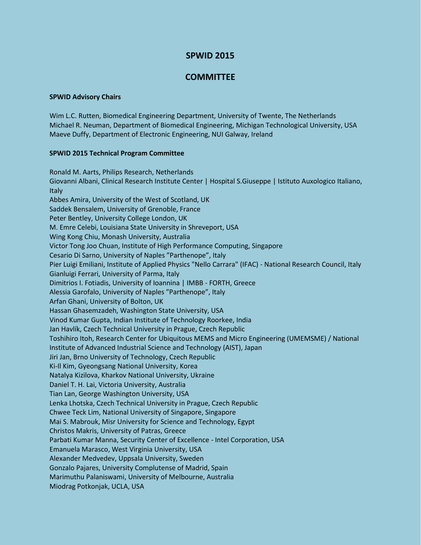## **SPWID 2015**

## **COMMITTEE**

## **SPWID Advisory Chairs**

Wim L.C. Rutten, Biomedical Engineering Department, University of Twente, The Netherlands Michael R. Neuman, Department of Biomedical Engineering, Michigan Technological University, USA Maeve Duffy, Department of Electronic Engineering, NUI Galway, Ireland

## **SPWID 2015 Technical Program Committee**

Ronald M. Aarts, Philips Research, Netherlands Giovanni Albani, Clinical Research Institute Center | Hospital S.Giuseppe | Istituto Auxologico Italiano, **Italy** Abbes Amira, University of the West of Scotland, UK Saddek Bensalem, University of Grenoble, France Peter Bentley, University College London, UK M. Emre Celebi, Louisiana State University in Shreveport, USA Wing Kong Chiu, Monash University, Australia Victor Tong Joo Chuan, Institute of High Performance Computing, Singapore Cesario Di Sarno, University of Naples "Parthenope", Italy Pier Luigi Emiliani, Institute of Applied Physics "Nello Carrara" (IFAC) - National Research Council, Italy Gianluigi Ferrari, University of Parma, Italy Dimitrios I. Fotiadis, University of Ioannina | IMBB - FORTH, Greece Alessia Garofalo, University of Naples "Parthenope", Italy Arfan Ghani, University of Bolton, UK Hassan Ghasemzadeh, Washington State University, USA Vinod Kumar Gupta, Indian Institute of Technology Roorkee, India Jan Havlík, Czech Technical University in Prague, Czech Republic Toshihiro Itoh, Research Center for Ubiquitous MEMS and Micro Engineering (UMEMSME) / National Institute of Advanced Industrial Science and Technology (AIST), Japan Jiri Jan, Brno University of Technology, Czech Republic Ki-Il Kim, Gyeongsang National University, Korea Natalya Kizilova, Kharkov National University, Ukraine Daniel T. H. Lai, Victoria University, Australia Tian Lan, George Washington University, USA Lenka Lhotska, Czech Technical University in Prague, Czech Republic Chwee Teck Lim, National University of Singapore, Singapore Mai S. Mabrouk, Misr University for Science and Technology, Egypt Christos Makris, University of Patras, Greece Parbati Kumar Manna, Security Center of Excellence - Intel Corporation, USA Emanuela Marasco, West Virginia University, USA Alexander Medvedev, Uppsala University, Sweden Gonzalo Pajares, University Complutense of Madrid, Spain Marimuthu Palaniswami, University of Melbourne, Australia Miodrag Potkonjak, UCLA, USA